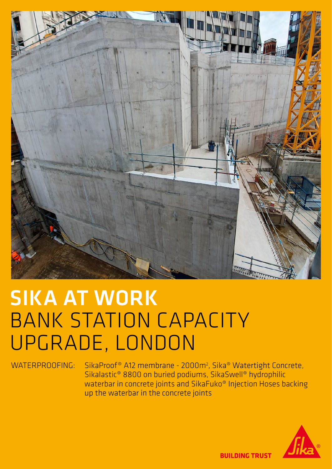

# SIKA AT WORK BANK STATION CAPACITY UPGRADE, LONDON

WATERPROOFING: SikaProof® A12 membrane - 2000m<sup>2</sup>, Sika® Watertight Concrete, Sikalastic® 8800 on buried podiums, SikaSwell® hydrophilic waterbar in concrete joints and SikaFuko® Injection Hoses backing up the waterbar in the concrete joints



**BUILDING TRUST**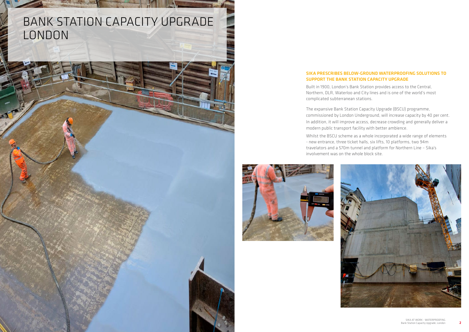## BANK STATION CAPACITY UPGRADE LONDON

### SIKA PRESCRIBES BELOW-GROUND WATERPROOFING SOLUTIONS TO SUPPORT THE BANK STATION CAPACITY UPGRADE

Built in 1900, London's Bank Station provides access to the Central, Northern, DLR, Waterloo and City lines and is one of the world's most complicated subterranean stations.

The expansive Bank Station Capacity Upgrade (BSCU) programme, commissioned by London Underground, will increase capacity by 40 per cent. In addition, it will improve access, decrease crowding and generally deliver a modern public transport facility with better ambience.

Whilst the BSCU scheme as a whole incorporated a wide range of elements - new entrance, three ticket halls, six lifts, 10 platforms, two 94m travelators and a 570m tunnel and platform for Northern Line – Sika's involvement was on the whole block site.